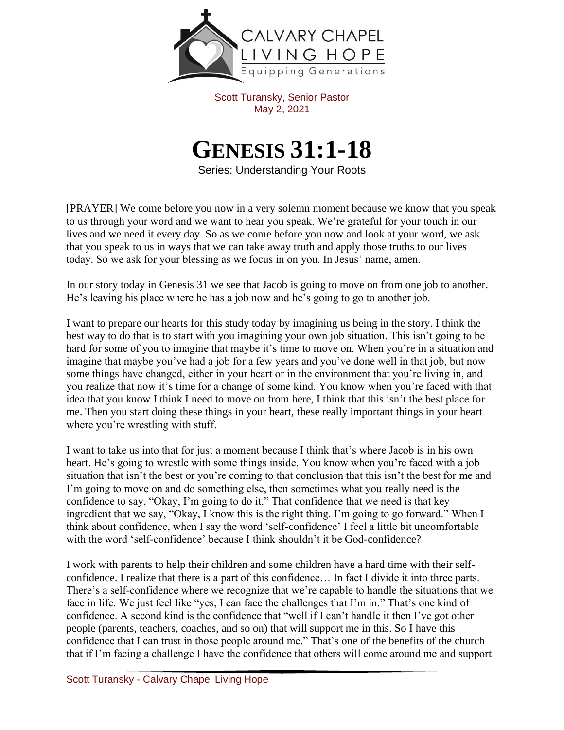

Scott Turansky, Senior Pastor May 2, 2021

## **GENESIS 31:1-18**

Series: Understanding Your Roots

[PRAYER] We come before you now in a very solemn moment because we know that you speak to us through your word and we want to hear you speak. We're grateful for your touch in our lives and we need it every day. So as we come before you now and look at your word, we ask that you speak to us in ways that we can take away truth and apply those truths to our lives today. So we ask for your blessing as we focus in on you. In Jesus' name, amen.

In our story today in Genesis 31 we see that Jacob is going to move on from one job to another. He's leaving his place where he has a job now and he's going to go to another job.

I want to prepare our hearts for this study today by imagining us being in the story. I think the best way to do that is to start with you imagining your own job situation. This isn't going to be hard for some of you to imagine that maybe it's time to move on. When you're in a situation and imagine that maybe you've had a job for a few years and you've done well in that job, but now some things have changed, either in your heart or in the environment that you're living in, and you realize that now it's time for a change of some kind. You know when you're faced with that idea that you know I think I need to move on from here, I think that this isn't the best place for me. Then you start doing these things in your heart, these really important things in your heart where you're wrestling with stuff.

I want to take us into that for just a moment because I think that's where Jacob is in his own heart. He's going to wrestle with some things inside. You know when you're faced with a job situation that isn't the best or you're coming to that conclusion that this isn't the best for me and I'm going to move on and do something else, then sometimes what you really need is the confidence to say, "Okay, I'm going to do it." That confidence that we need is that key ingredient that we say, "Okay, I know this is the right thing. I'm going to go forward." When I think about confidence, when I say the word 'self-confidence' I feel a little bit uncomfortable with the word 'self-confidence' because I think shouldn't it be God-confidence?

I work with parents to help their children and some children have a hard time with their selfconfidence. I realize that there is a part of this confidence… In fact I divide it into three parts. There's a self-confidence where we recognize that we're capable to handle the situations that we face in life. We just feel like "yes, I can face the challenges that I'm in." That's one kind of confidence. A second kind is the confidence that "well if I can't handle it then I've got other people (parents, teachers, coaches, and so on) that will support me in this. So I have this confidence that I can trust in those people around me." That's one of the benefits of the church that if I'm facing a challenge I have the confidence that others will come around me and support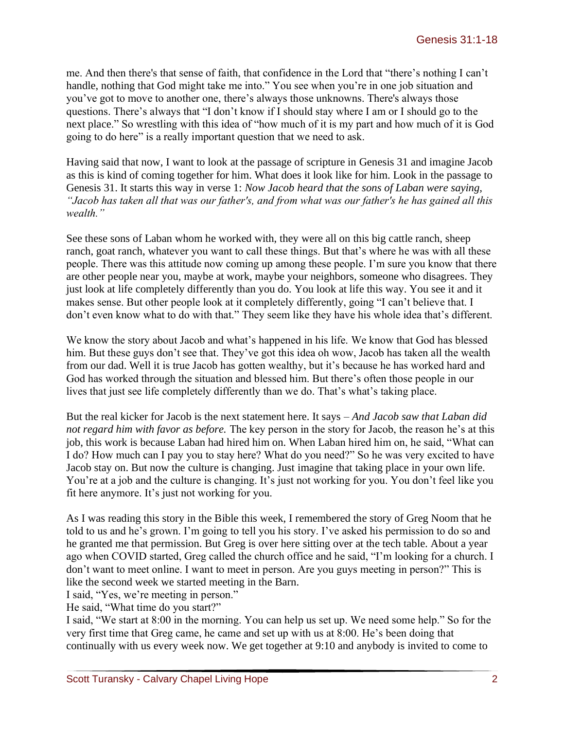me. And then there's that sense of faith, that confidence in the Lord that "there's nothing I can't handle, nothing that God might take me into." You see when you're in one job situation and you've got to move to another one, there's always those unknowns. There's always those questions. There's always that "I don't know if I should stay where I am or I should go to the next place." So wrestling with this idea of "how much of it is my part and how much of it is God going to do here" is a really important question that we need to ask.

Having said that now, I want to look at the passage of scripture in Genesis 31 and imagine Jacob as this is kind of coming together for him. What does it look like for him. Look in the passage to Genesis 31. It starts this way in verse 1: *Now Jacob heard that the sons of Laban were saying, "Jacob has taken all that was our father's, and from what was our father's he has gained all this wealth."* 

See these sons of Laban whom he worked with, they were all on this big cattle ranch, sheep ranch, goat ranch, whatever you want to call these things. But that's where he was with all these people. There was this attitude now coming up among these people. I'm sure you know that there are other people near you, maybe at work, maybe your neighbors, someone who disagrees. They just look at life completely differently than you do. You look at life this way. You see it and it makes sense. But other people look at it completely differently, going "I can't believe that. I don't even know what to do with that." They seem like they have his whole idea that's different.

We know the story about Jacob and what's happened in his life. We know that God has blessed him. But these guys don't see that. They've got this idea oh wow, Jacob has taken all the wealth from our dad. Well it is true Jacob has gotten wealthy, but it's because he has worked hard and God has worked through the situation and blessed him. But there's often those people in our lives that just see life completely differently than we do. That's what's taking place.

But the real kicker for Jacob is the next statement here. It says – *And Jacob saw that Laban did not regard him with favor as before.* The key person in the story for Jacob, the reason he's at this job, this work is because Laban had hired him on. When Laban hired him on, he said, "What can I do? How much can I pay you to stay here? What do you need?" So he was very excited to have Jacob stay on. But now the culture is changing. Just imagine that taking place in your own life. You're at a job and the culture is changing. It's just not working for you. You don't feel like you fit here anymore. It's just not working for you.

As I was reading this story in the Bible this week, I remembered the story of Greg Noom that he told to us and he's grown. I'm going to tell you his story. I've asked his permission to do so and he granted me that permission. But Greg is over here sitting over at the tech table. About a year ago when COVID started, Greg called the church office and he said, "I'm looking for a church. I don't want to meet online. I want to meet in person. Are you guys meeting in person?" This is like the second week we started meeting in the Barn.

I said, "Yes, we're meeting in person."

He said, "What time do you start?"

I said, "We start at 8:00 in the morning. You can help us set up. We need some help." So for the very first time that Greg came, he came and set up with us at 8:00. He's been doing that continually with us every week now. We get together at 9:10 and anybody is invited to come to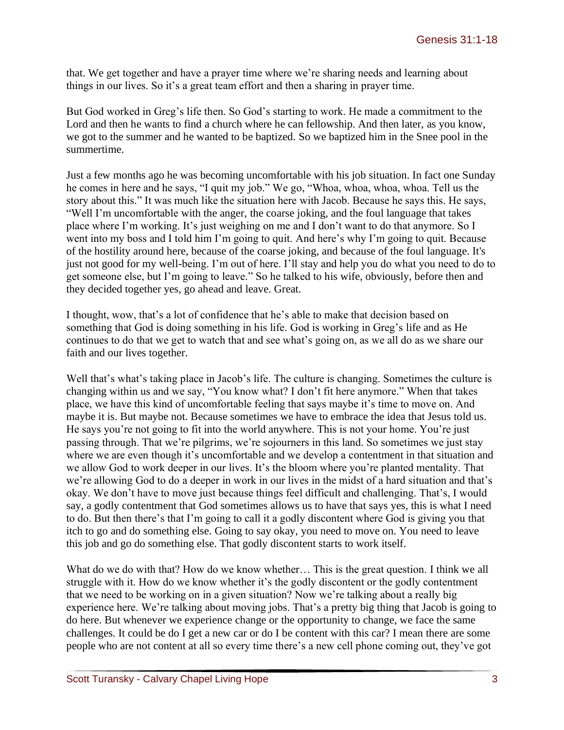that. We get together and have a prayer time where we're sharing needs and learning about things in our lives. So it's a great team effort and then a sharing in prayer time.

But God worked in Greg's life then. So God's starting to work. He made a commitment to the Lord and then he wants to find a church where he can fellowship. And then later, as you know, we got to the summer and he wanted to be baptized. So we baptized him in the Snee pool in the summertime.

Just a few months ago he was becoming uncomfortable with his job situation. In fact one Sunday he comes in here and he says, "I quit my job." We go, "Whoa, whoa, whoa, whoa. Tell us the story about this." It was much like the situation here with Jacob. Because he says this. He says, "Well I'm uncomfortable with the anger, the coarse joking, and the foul language that takes place where I'm working. It's just weighing on me and I don't want to do that anymore. So I went into my boss and I told him I'm going to quit. And here's why I'm going to quit. Because of the hostility around here, because of the coarse joking, and because of the foul language. It's just not good for my well-being. I'm out of here. I'll stay and help you do what you need to do to get someone else, but I'm going to leave." So he talked to his wife, obviously, before then and they decided together yes, go ahead and leave. Great.

I thought, wow, that's a lot of confidence that he's able to make that decision based on something that God is doing something in his life. God is working in Greg's life and as He continues to do that we get to watch that and see what's going on, as we all do as we share our faith and our lives together.

Well that's what's taking place in Jacob's life. The culture is changing. Sometimes the culture is changing within us and we say, "You know what? I don't fit here anymore." When that takes place, we have this kind of uncomfortable feeling that says maybe it's time to move on. And maybe it is. But maybe not. Because sometimes we have to embrace the idea that Jesus told us. He says you're not going to fit into the world anywhere. This is not your home. You're just passing through. That we're pilgrims, we're sojourners in this land. So sometimes we just stay where we are even though it's uncomfortable and we develop a contentment in that situation and we allow God to work deeper in our lives. It's the bloom where you're planted mentality. That we're allowing God to do a deeper in work in our lives in the midst of a hard situation and that's okay. We don't have to move just because things feel difficult and challenging. That's, I would say, a godly contentment that God sometimes allows us to have that says yes, this is what I need to do. But then there's that I'm going to call it a godly discontent where God is giving you that itch to go and do something else. Going to say okay, you need to move on. You need to leave this job and go do something else. That godly discontent starts to work itself.

What do we do with that? How do we know whether... This is the great question. I think we all struggle with it. How do we know whether it's the godly discontent or the godly contentment that we need to be working on in a given situation? Now we're talking about a really big experience here. We're talking about moving jobs. That's a pretty big thing that Jacob is going to do here. But whenever we experience change or the opportunity to change, we face the same challenges. It could be do I get a new car or do I be content with this car? I mean there are some people who are not content at all so every time there's a new cell phone coming out, they've got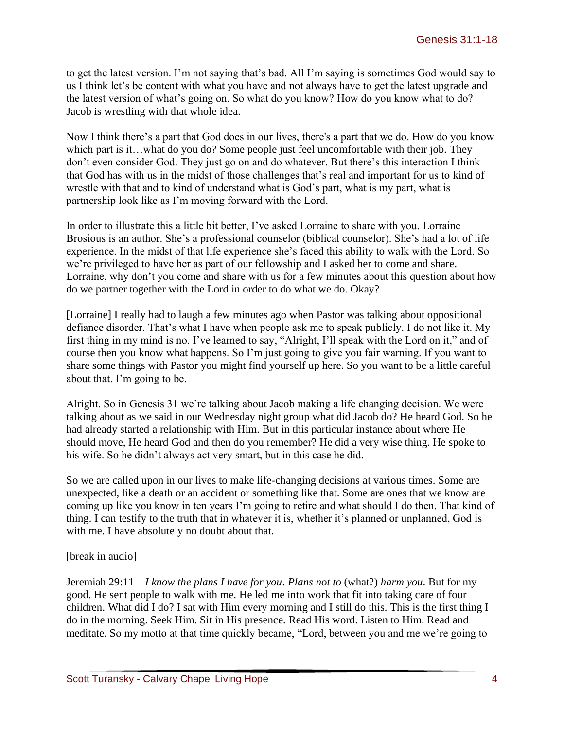to get the latest version. I'm not saying that's bad. All I'm saying is sometimes God would say to us I think let's be content with what you have and not always have to get the latest upgrade and the latest version of what's going on. So what do you know? How do you know what to do? Jacob is wrestling with that whole idea.

Now I think there's a part that God does in our lives, there's a part that we do. How do you know which part is it...what do you do? Some people just feel uncomfortable with their job. They don't even consider God. They just go on and do whatever. But there's this interaction I think that God has with us in the midst of those challenges that's real and important for us to kind of wrestle with that and to kind of understand what is God's part, what is my part, what is partnership look like as I'm moving forward with the Lord.

In order to illustrate this a little bit better, I've asked Lorraine to share with you. Lorraine Brosious is an author. She's a professional counselor (biblical counselor). She's had a lot of life experience. In the midst of that life experience she's faced this ability to walk with the Lord. So we're privileged to have her as part of our fellowship and I asked her to come and share. Lorraine, why don't you come and share with us for a few minutes about this question about how do we partner together with the Lord in order to do what we do. Okay?

[Lorraine] I really had to laugh a few minutes ago when Pastor was talking about oppositional defiance disorder. That's what I have when people ask me to speak publicly. I do not like it. My first thing in my mind is no. I've learned to say, "Alright, I'll speak with the Lord on it," and of course then you know what happens. So I'm just going to give you fair warning. If you want to share some things with Pastor you might find yourself up here. So you want to be a little careful about that. I'm going to be.

Alright. So in Genesis 31 we're talking about Jacob making a life changing decision. We were talking about as we said in our Wednesday night group what did Jacob do? He heard God. So he had already started a relationship with Him. But in this particular instance about where He should move, He heard God and then do you remember? He did a very wise thing. He spoke to his wife. So he didn't always act very smart, but in this case he did.

So we are called upon in our lives to make life-changing decisions at various times. Some are unexpected, like a death or an accident or something like that. Some are ones that we know are coming up like you know in ten years I'm going to retire and what should I do then. That kind of thing. I can testify to the truth that in whatever it is, whether it's planned or unplanned, God is with me. I have absolutely no doubt about that.

## [break in audio]

Jeremiah 29:11 – *I know the plans I have for you*. *Plans not to* (what?) *harm you*. But for my good. He sent people to walk with me. He led me into work that fit into taking care of four children. What did I do? I sat with Him every morning and I still do this. This is the first thing I do in the morning. Seek Him. Sit in His presence. Read His word. Listen to Him. Read and meditate. So my motto at that time quickly became, "Lord, between you and me we're going to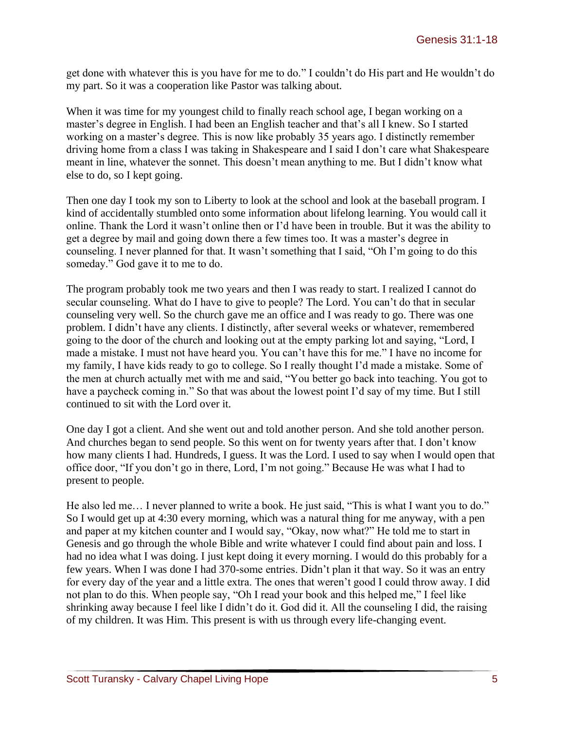get done with whatever this is you have for me to do." I couldn't do His part and He wouldn't do my part. So it was a cooperation like Pastor was talking about.

When it was time for my youngest child to finally reach school age, I began working on a master's degree in English. I had been an English teacher and that's all I knew. So I started working on a master's degree. This is now like probably 35 years ago. I distinctly remember driving home from a class I was taking in Shakespeare and I said I don't care what Shakespeare meant in line, whatever the sonnet. This doesn't mean anything to me. But I didn't know what else to do, so I kept going.

Then one day I took my son to Liberty to look at the school and look at the baseball program. I kind of accidentally stumbled onto some information about lifelong learning. You would call it online. Thank the Lord it wasn't online then or I'd have been in trouble. But it was the ability to get a degree by mail and going down there a few times too. It was a master's degree in counseling. I never planned for that. It wasn't something that I said, "Oh I'm going to do this someday." God gave it to me to do.

The program probably took me two years and then I was ready to start. I realized I cannot do secular counseling. What do I have to give to people? The Lord. You can't do that in secular counseling very well. So the church gave me an office and I was ready to go. There was one problem. I didn't have any clients. I distinctly, after several weeks or whatever, remembered going to the door of the church and looking out at the empty parking lot and saying, "Lord, I made a mistake. I must not have heard you. You can't have this for me." I have no income for my family, I have kids ready to go to college. So I really thought I'd made a mistake. Some of the men at church actually met with me and said, "You better go back into teaching. You got to have a paycheck coming in." So that was about the lowest point I'd say of my time. But I still continued to sit with the Lord over it.

One day I got a client. And she went out and told another person. And she told another person. And churches began to send people. So this went on for twenty years after that. I don't know how many clients I had. Hundreds, I guess. It was the Lord. I used to say when I would open that office door, "If you don't go in there, Lord, I'm not going." Because He was what I had to present to people.

He also led me… I never planned to write a book. He just said, "This is what I want you to do." So I would get up at 4:30 every morning, which was a natural thing for me anyway, with a pen and paper at my kitchen counter and I would say, "Okay, now what?" He told me to start in Genesis and go through the whole Bible and write whatever I could find about pain and loss. I had no idea what I was doing. I just kept doing it every morning. I would do this probably for a few years. When I was done I had 370-some entries. Didn't plan it that way. So it was an entry for every day of the year and a little extra. The ones that weren't good I could throw away. I did not plan to do this. When people say, "Oh I read your book and this helped me," I feel like shrinking away because I feel like I didn't do it. God did it. All the counseling I did, the raising of my children. It was Him. This present is with us through every life-changing event.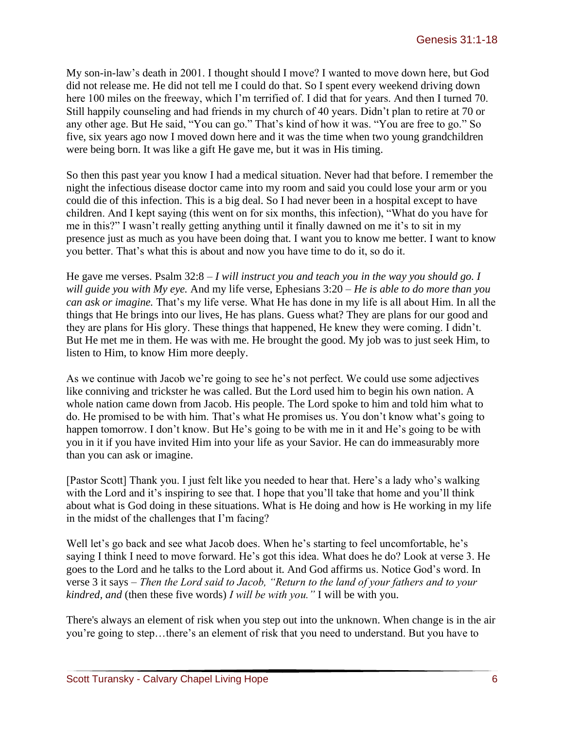My son-in-law's death in 2001. I thought should I move? I wanted to move down here, but God did not release me. He did not tell me I could do that. So I spent every weekend driving down here 100 miles on the freeway, which I'm terrified of. I did that for years. And then I turned 70. Still happily counseling and had friends in my church of 40 years. Didn't plan to retire at 70 or any other age. But He said, "You can go." That's kind of how it was. "You are free to go." So five, six years ago now I moved down here and it was the time when two young grandchildren were being born. It was like a gift He gave me, but it was in His timing.

So then this past year you know I had a medical situation. Never had that before. I remember the night the infectious disease doctor came into my room and said you could lose your arm or you could die of this infection. This is a big deal. So I had never been in a hospital except to have children. And I kept saying (this went on for six months, this infection), "What do you have for me in this?" I wasn't really getting anything until it finally dawned on me it's to sit in my presence just as much as you have been doing that. I want you to know me better. I want to know you better. That's what this is about and now you have time to do it, so do it.

He gave me verses. Psalm 32:8 – *I will instruct you and teach you in the way you should go. I will guide you with My eye.* And my life verse, Ephesians 3:20 – *He is able to do more than you can ask or imagine.* That's my life verse. What He has done in my life is all about Him. In all the things that He brings into our lives, He has plans. Guess what? They are plans for our good and they are plans for His glory. These things that happened, He knew they were coming. I didn't. But He met me in them. He was with me. He brought the good. My job was to just seek Him, to listen to Him, to know Him more deeply.

As we continue with Jacob we're going to see he's not perfect. We could use some adjectives like conniving and trickster he was called. But the Lord used him to begin his own nation. A whole nation came down from Jacob. His people. The Lord spoke to him and told him what to do. He promised to be with him. That's what He promises us. You don't know what's going to happen tomorrow. I don't know. But He's going to be with me in it and He's going to be with you in it if you have invited Him into your life as your Savior. He can do immeasurably more than you can ask or imagine.

[Pastor Scott] Thank you. I just felt like you needed to hear that. Here's a lady who's walking with the Lord and it's inspiring to see that. I hope that you'll take that home and you'll think about what is God doing in these situations. What is He doing and how is He working in my life in the midst of the challenges that I'm facing?

Well let's go back and see what Jacob does. When he's starting to feel uncomfortable, he's saying I think I need to move forward. He's got this idea. What does he do? Look at verse 3. He goes to the Lord and he talks to the Lord about it. And God affirms us. Notice God's word. In verse 3 it says – *Then the Lord said to Jacob, "Return to the land of your fathers and to your kindred, and* (then these five words) *I will be with you."* I will be with you.

There's always an element of risk when you step out into the unknown. When change is in the air you're going to step…there's an element of risk that you need to understand. But you have to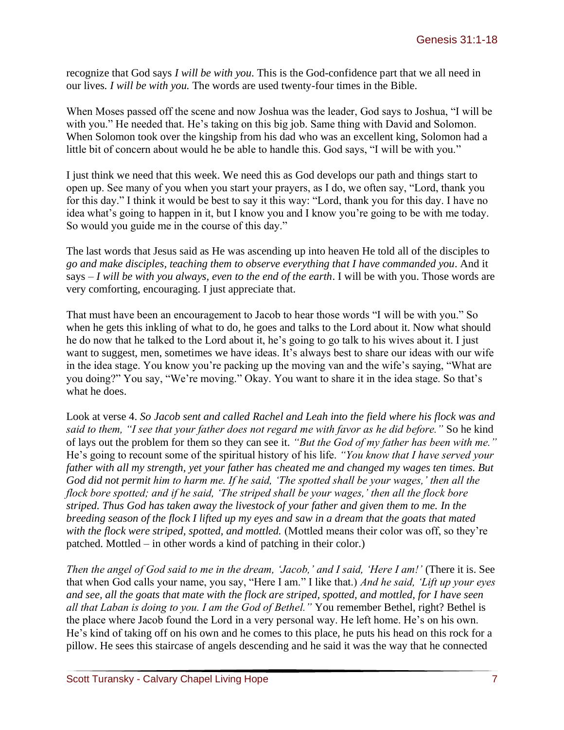recognize that God says *I will be with you*. This is the God-confidence part that we all need in our lives*. I will be with you.* The words are used twenty-four times in the Bible.

When Moses passed off the scene and now Joshua was the leader, God says to Joshua, "I will be with you." He needed that. He's taking on this big job. Same thing with David and Solomon. When Solomon took over the kingship from his dad who was an excellent king, Solomon had a little bit of concern about would he be able to handle this. God says, "I will be with you."

I just think we need that this week. We need this as God develops our path and things start to open up. See many of you when you start your prayers, as I do, we often say, "Lord, thank you for this day." I think it would be best to say it this way: "Lord, thank you for this day. I have no idea what's going to happen in it, but I know you and I know you're going to be with me today. So would you guide me in the course of this day."

The last words that Jesus said as He was ascending up into heaven He told all of the disciples to *go and make disciples, teaching them to observe everything that I have commanded you*. And it says – *I will be with you always, even to the end of the earth*. I will be with you. Those words are very comforting, encouraging. I just appreciate that.

That must have been an encouragement to Jacob to hear those words "I will be with you." So when he gets this inkling of what to do, he goes and talks to the Lord about it. Now what should he do now that he talked to the Lord about it, he's going to go talk to his wives about it. I just want to suggest, men, sometimes we have ideas. It's always best to share our ideas with our wife in the idea stage. You know you're packing up the moving van and the wife's saying, "What are you doing?" You say, "We're moving." Okay. You want to share it in the idea stage. So that's what he does.

Look at verse 4. *So Jacob sent and called Rachel and Leah into the field where his flock was and said to them, "I see that your father does not regard me with favor as he did before."* So he kind of lays out the problem for them so they can see it. *"But the God of my father has been with me."*  He's going to recount some of the spiritual history of his life. *"You know that I have served your father with all my strength, yet your father has cheated me and changed my wages ten times. But God did not permit him to harm me. If he said, 'The spotted shall be your wages,' then all the flock bore spotted; and if he said, 'The striped shall be your wages,' then all the flock bore striped. Thus God has taken away the livestock of your father and given them to me. In the breeding season of the flock I lifted up my eyes and saw in a dream that the goats that mated*  with the flock were striped, spotted, and mottled. (Mottled means their color was off, so they're patched. Mottled – in other words a kind of patching in their color.)

*Then the angel of God said to me in the dream, 'Jacob,' and I said, 'Here I am!'* (There it is. See that when God calls your name, you say, "Here I am." I like that.) *And he said, 'Lift up your eyes and see, all the goats that mate with the flock are striped, spotted, and mottled, for I have seen all that Laban is doing to you. I am the God of Bethel."* You remember Bethel, right? Bethel is the place where Jacob found the Lord in a very personal way. He left home. He's on his own. He's kind of taking off on his own and he comes to this place, he puts his head on this rock for a pillow. He sees this staircase of angels descending and he said it was the way that he connected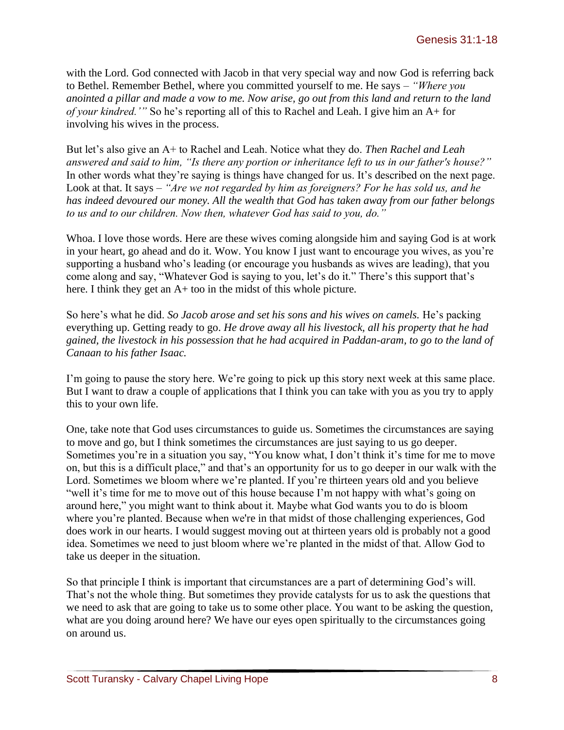with the Lord. God connected with Jacob in that very special way and now God is referring back to Bethel. Remember Bethel, where you committed yourself to me. He says – *"Where you anointed a pillar and made a vow to me. Now arise, go out from this land and return to the land of your kindred.'"* So he's reporting all of this to Rachel and Leah. I give him an A+ for involving his wives in the process.

But let's also give an A+ to Rachel and Leah. Notice what they do. *Then Rachel and Leah answered and said to him, "Is there any portion or inheritance left to us in our father's house?"*  In other words what they're saying is things have changed for us. It's described on the next page. Look at that. It says – *"Are we not regarded by him as foreigners? For he has sold us, and he has indeed devoured our money. All the wealth that God has taken away from our father belongs to us and to our children. Now then, whatever God has said to you, do."* 

Whoa. I love those words. Here are these wives coming alongside him and saying God is at work in your heart, go ahead and do it. Wow. You know I just want to encourage you wives, as you're supporting a husband who's leading (or encourage you husbands as wives are leading), that you come along and say, "Whatever God is saying to you, let's do it." There's this support that's here. I think they get an A+ too in the midst of this whole picture.

So here's what he did. *So Jacob arose and set his sons and his wives on camels.* He's packing everything up. Getting ready to go. *He drove away all his livestock, all his property that he had gained, the livestock in his possession that he had acquired in Paddan-aram, to go to the land of Canaan to his father Isaac.* 

I'm going to pause the story here. We're going to pick up this story next week at this same place. But I want to draw a couple of applications that I think you can take with you as you try to apply this to your own life.

One, take note that God uses circumstances to guide us. Sometimes the circumstances are saying to move and go, but I think sometimes the circumstances are just saying to us go deeper. Sometimes you're in a situation you say, "You know what, I don't think it's time for me to move on, but this is a difficult place," and that's an opportunity for us to go deeper in our walk with the Lord. Sometimes we bloom where we're planted. If you're thirteen years old and you believe "well it's time for me to move out of this house because I'm not happy with what's going on around here," you might want to think about it. Maybe what God wants you to do is bloom where you're planted. Because when we're in that midst of those challenging experiences, God does work in our hearts. I would suggest moving out at thirteen years old is probably not a good idea. Sometimes we need to just bloom where we're planted in the midst of that. Allow God to take us deeper in the situation.

So that principle I think is important that circumstances are a part of determining God's will. That's not the whole thing. But sometimes they provide catalysts for us to ask the questions that we need to ask that are going to take us to some other place. You want to be asking the question, what are you doing around here? We have our eyes open spiritually to the circumstances going on around us.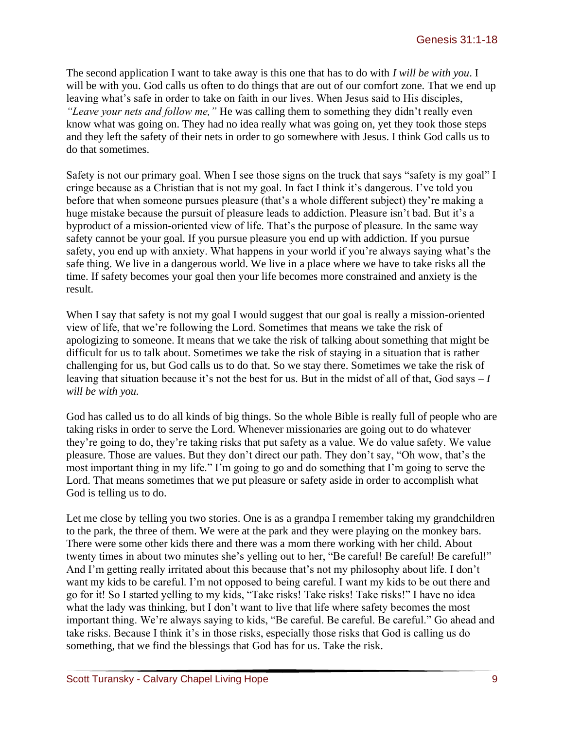The second application I want to take away is this one that has to do with *I will be with you*. I will be with you. God calls us often to do things that are out of our comfort zone. That we end up leaving what's safe in order to take on faith in our lives. When Jesus said to His disciples, *"Leave your nets and follow me,"* He was calling them to something they didn't really even know what was going on. They had no idea really what was going on, yet they took those steps and they left the safety of their nets in order to go somewhere with Jesus. I think God calls us to do that sometimes.

Safety is not our primary goal. When I see those signs on the truck that says "safety is my goal" I cringe because as a Christian that is not my goal. In fact I think it's dangerous. I've told you before that when someone pursues pleasure (that's a whole different subject) they're making a huge mistake because the pursuit of pleasure leads to addiction. Pleasure isn't bad. But it's a byproduct of a mission-oriented view of life. That's the purpose of pleasure. In the same way safety cannot be your goal. If you pursue pleasure you end up with addiction. If you pursue safety, you end up with anxiety. What happens in your world if you're always saying what's the safe thing. We live in a dangerous world. We live in a place where we have to take risks all the time. If safety becomes your goal then your life becomes more constrained and anxiety is the result.

When I say that safety is not my goal I would suggest that our goal is really a mission-oriented view of life, that we're following the Lord. Sometimes that means we take the risk of apologizing to someone. It means that we take the risk of talking about something that might be difficult for us to talk about. Sometimes we take the risk of staying in a situation that is rather challenging for us, but God calls us to do that. So we stay there. Sometimes we take the risk of leaving that situation because it's not the best for us. But in the midst of all of that, God says – *I will be with you.*

God has called us to do all kinds of big things. So the whole Bible is really full of people who are taking risks in order to serve the Lord. Whenever missionaries are going out to do whatever they're going to do, they're taking risks that put safety as a value. We do value safety. We value pleasure. Those are values. But they don't direct our path. They don't say, "Oh wow, that's the most important thing in my life." I'm going to go and do something that I'm going to serve the Lord. That means sometimes that we put pleasure or safety aside in order to accomplish what God is telling us to do.

Let me close by telling you two stories. One is as a grandpa I remember taking my grandchildren to the park, the three of them. We were at the park and they were playing on the monkey bars. There were some other kids there and there was a mom there working with her child. About twenty times in about two minutes she's yelling out to her, "Be careful! Be careful! Be careful!" And I'm getting really irritated about this because that's not my philosophy about life. I don't want my kids to be careful. I'm not opposed to being careful. I want my kids to be out there and go for it! So I started yelling to my kids, "Take risks! Take risks! Take risks!" I have no idea what the lady was thinking, but I don't want to live that life where safety becomes the most important thing. We're always saying to kids, "Be careful. Be careful. Be careful." Go ahead and take risks. Because I think it's in those risks, especially those risks that God is calling us do something, that we find the blessings that God has for us. Take the risk.